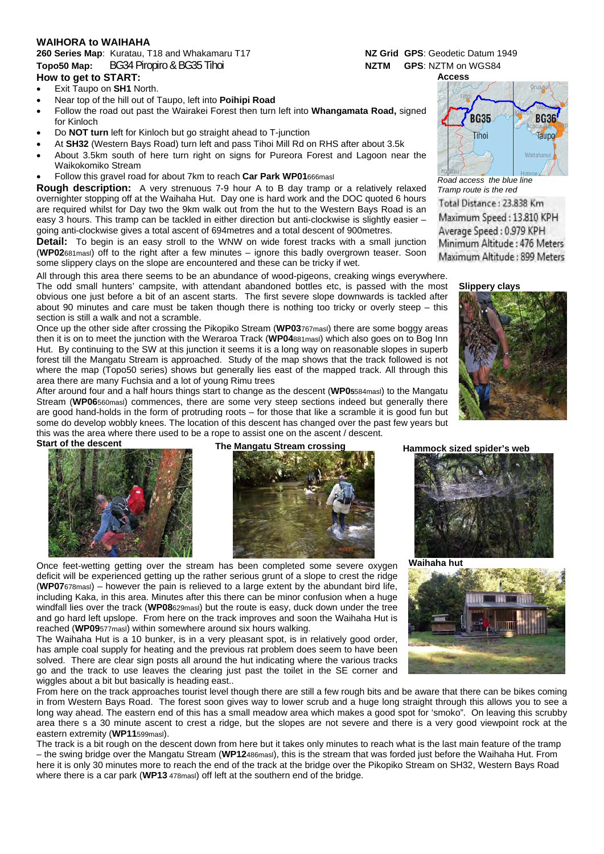### **WAIHORA to WAIHAHA**

## **260 Series Map**: Kuratau, T18 and Whakamaru T17 **NZ Grid GPS**: Geodetic Datum 1949 **Topo50 Map:** BG34 Piropiro & BG35 Tihoi NETRI NETRI GPS: NZTM on WGS84

#### **How to get to START:**

- Exit Taupo on **SH1** North.
- Near top of the hill out of Taupo, left into **Poihipi Road**
- Follow the road out past the Wairakei Forest then turn left into **Whangamata Road,** signed for Kinloch
- Do **NOT turn** left for Kinloch but go straight ahead to T-junction
- At **SH32** (Western Bays Road) turn left and pass Tihoi Mill Rd on RHS after about 3.5k
- About 3.5km south of here turn right on signs for Pureora Forest and Lagoon near the Waikokomiko Stream
- Follow this gravel road for about 7km to reach **Car Park WP01**666masl

**Rough description:** A very strenuous 7-9 hour A to B day tramp or a relatively relaxed overnighter stopping off at the Waihaha Hut. Day one is hard work and the DOC quoted 6 hours are required whilst for Day two the 9km walk out from the hut to the Western Bays Road is an easy 3 hours. This tramp can be tackled in either direction but anti-clockwise is slightly easier – going anti-clockwise gives a total ascent of 694metres and a total descent of 900metres.

**Detail:** To begin is an easy stroll to the WNW on wide forest tracks with a small junction (**WP02**681masl) off to the right after a few minutes – ignore this badly overgrown teaser. Soon some slippery clays on the slope are encountered and these can be tricky if wet.

All through this area there seems to be an abundance of wood-pigeons, creaking wings everywhere.

The odd small hunters' campsite, with attendant abandoned bottles etc, is passed with the most obvious one just before a bit of an ascent starts. The first severe slope downwards is tackled after about 90 minutes and care must be taken though there is nothing too tricky or overly steep – this section is still a walk and not a scramble.

Once up the other side after crossing the Pikopiko Stream (**WP03**767masl) there are some boggy areas then it is on to meet the junction with the Weraroa Track (**WP04**881masl) which also goes on to Bog Inn Hut. By continuing to the SW at this junction it seems it is a long way on reasonable slopes in superb forest till the Mangatu Stream is approached. Study of the map shows that the track followed is not where the map (Topo50 series) shows but generally lies east of the mapped track. All through this area there are many Fuchsia and a lot of young Rimu trees

After around four and a half hours things start to change as the descent (**WP05**584masl) to the Mangatu Stream (**WP06**560masl) commences, there are some very steep sections indeed but generally there are good hand-holds in the form of protruding roots – for those that like a scramble it is good fun but some do develop wobbly knees. The location of this descent has changed over the past few years but this was the area where there used to be a rope to assist one on the ascent / descent.



Start of the descent The Mangatu Stream crossing Hammock sized spider's web



Once feet-wetting getting over the stream has been completed some severe oxygen deficit will be experienced getting up the rather serious grunt of a slope to crest the ridge (**WP07**678masl) – however the pain is relieved to a large extent by the abundant bird life, including Kaka, in this area. Minutes after this there can be minor confusion when a huge windfall lies over the track (**WP08**629masl) but the route is easy, duck down under the tree and go hard left upslope. From here on the track improves and soon the Waihaha Hut is reached (**WP09**577masl) within somewhere around six hours walking.

The Waihaha Hut is a 10 bunker, is in a very pleasant spot, is in relatively good order, has ample coal supply for heating and the previous rat problem does seem to have been solved. There are clear sign posts all around the hut indicating where the various tracks go and the track to use leaves the clearing just past the toilet in the SE corner and wiggles about a bit but basically is heading east..

From here on the track approaches tourist level though there are still a few rough bits and be aware that there can be bikes coming in from Western Bays Road. The forest soon gives way to lower scrub and a huge long straight through this allows you to see a long way ahead. The eastern end of this has a small meadow area which makes a good spot for 'smoko". On leaving this scrubby area there s a 30 minute ascent to crest a ridge, but the slopes are not severe and there is a very good viewpoint rock at the eastern extremity (**WP11**599masl).

The track is a bit rough on the descent down from here but it takes only minutes to reach what is the last main feature of the tramp – the swing bridge over the Mangatu Stream (**WP12**486masl), this is the stream that was forded just before the Waihaha Hut. From here it is only 30 minutes more to reach the end of the track at the bridge over the Pikopiko Stream on SH32, Western Bays Road where there is a car park (**WP13** 478masl) off left at the southern end of the bridge.

**Access**  Oruso **BG35 BG36** Tihoi Taiind

*Road access the blue line Tramp route is the red* 

Total Distance: 23.838 Km Maximum Speed: 13.810 KPH Average Speed: 0.979 KPH Minimum Altitude: 476 Meters Maximum Altitude : 899 Meters









**Waihaha hut**